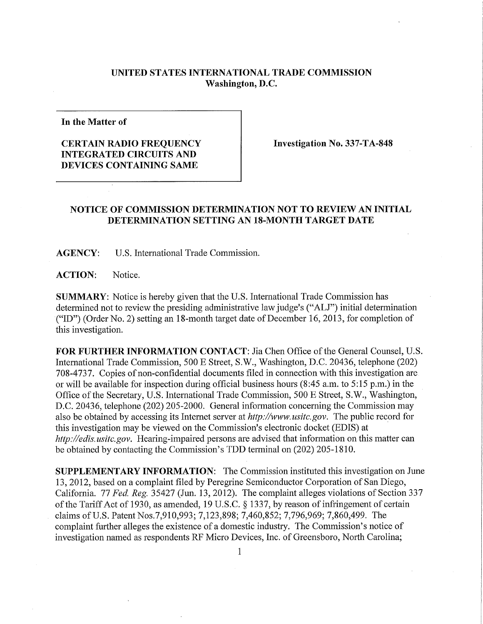## **UNITED STATES INTERNATIONAL TRADE COMMISSION Washington, D.C.**

**In the Matter of** 

## **CERTAIN RADIO FREQUENCY INTEGRATED CIRCUITS AND DEVICES CONTAINING SAME**

**Investigation No. 337-TA-848** 

## **NOTICE OF COMMISSION DETERMINATION NOT TO REVIEW AN INITIAL DETERMINATION SETTING AN 18-MONTH TARGET DATE**

**AGENCY:** U.S. International Trade Commission.

**ACTION:** Notice.

**SUMMARY:** Notice is hereby given that the U.S. International Trade Commission has determined not to review the presiding administrative law judge's ("ALJ") initial determination  $('ID")$  (Order No. 2) setting an 18-month target date of December 16, 2013, for completion of this investigation.

FOR FURTHER INFORMATION CONTACT: Jia Chen Office of the General Counsel, U.S. International Trade Commission, 500 E Street, S.W., Washington, D.C. 20436, telephone (202) 708-4737. Copies of non-confidential documents filed in connection with this investigation are or will be available for inspection during official business hours (8:45 a.m. to 5:15 p.m.) in the Office of the Secretary, U.S. International Trade Commission, 500 E Street, S.W., Washington, D.C. 20436, telephone (202) 205-2000. General information concerning the Commission may also be obtained by accessing its Internet server at *http://www.usitc.gov.* The public record for this investigation may be viewed on the Commission's electronic docket (EDIS) at *http://edis.usitc.gov.* Hearing-impaired persons are advised that information on this matter can be obtained by contacting the Commission's TDD terminal on (202) 205-1810.

**SUPPLEMENTARY INFORMATION:** The Commission instituted this investigation on June 13, 2012, based on a complaint filed by Peregrine Semiconductor Corporation of San Diego, California. 77 *Fed, Reg.* 35427 (Jun. 13, 2012). The complaint alleges violations of Section 337 of the Tariff Act of 1930, as amended, 19 U.S.C. § 1337, by reason of infringement of certain claims of U.S. Patent Nos.7,910,993; 7,123,898; 7,460,852; 7,796,969; 7,860,499. The complaint further alleges the existence of a domestic industry. The Commission's notice of investigation named as respondents RF Micro Devices, Inc. of Greensboro, North Carolina;